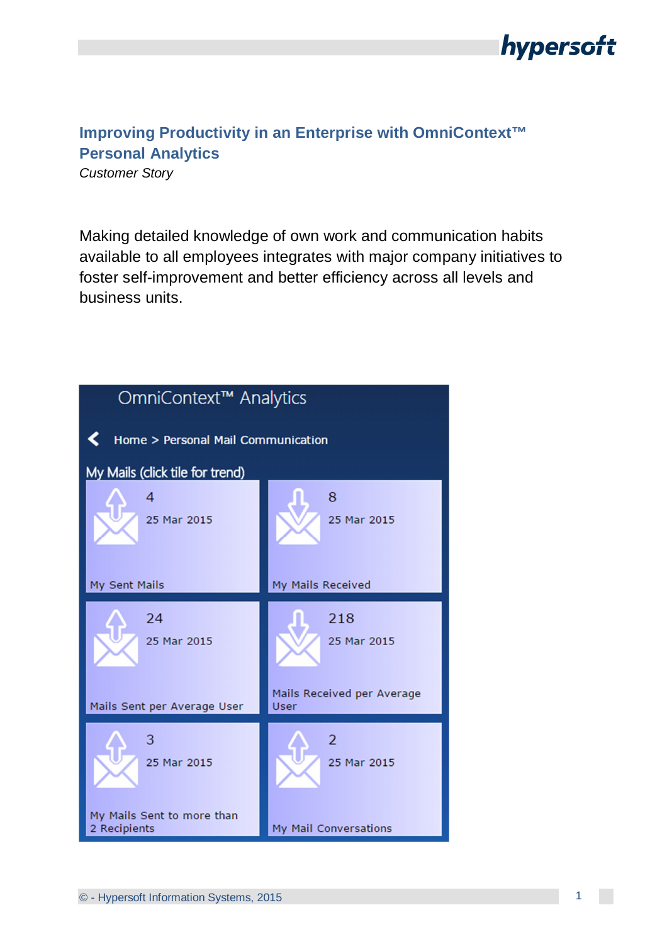

## **Improving Productivity in an Enterprise with OmniContext™ Personal Analytics**

*Customer Story*

Making detailed knowledge of own work and communication habits available to all employees integrates with major company initiatives to foster self-improvement and better efficiency across all levels and business units.

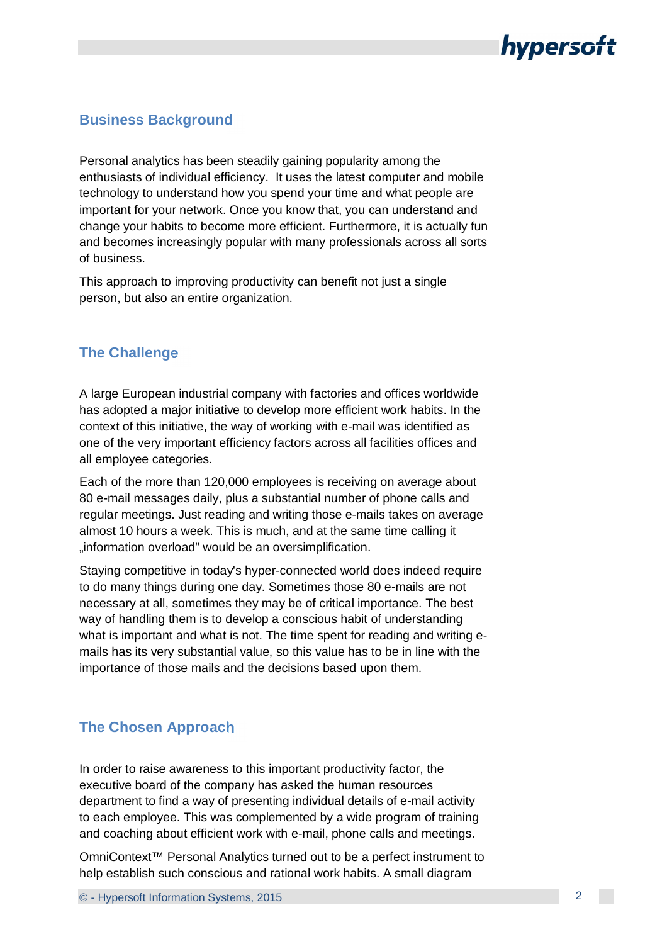

#### **Business Background**

Personal analytics has been steadily gaining popularity among the enthusiasts of individual efficiency. It uses the latest computer and mobile technology to understand how you spend your time and what people are important for your network. Once you know that, you can understand and change your habits to become more efficient. Furthermore, it is actually fun and becomes increasingly popular with many professionals across all sorts of business.

This approach to improving productivity can benefit not just a single person, but also an entire organization.

#### **The Challenge**

A large European industrial company with factories and offices worldwide has adopted a major initiative to develop more efficient work habits. In the context of this initiative, the way of working with e-mail was identified as one of the very important efficiency factors across all facilities offices and all employee categories.

Each of the more than 120,000 employees is receiving on average about 80 e-mail messages daily, plus a substantial number of phone calls and regular meetings. Just reading and writing those e-mails takes on average almost 10 hours a week. This is much, and at the same time calling it "information overload" would be an oversimplification.

Staying competitive in today's hyper-connected world does indeed require to do many things during one day. Sometimes those 80 e-mails are not necessary at all, sometimes they may be of critical importance. The best way of handling them is to develop a conscious habit of understanding what is important and what is not. The time spent for reading and writing emails has its very substantial value, so this value has to be in line with the importance of those mails and the decisions based upon them.

#### **The Chosen Approach**

In order to raise awareness to this important productivity factor, the executive board of the company has asked the human resources department to find a way of presenting individual details of e-mail activity to each employee. This was complemented by a wide program of training and coaching about efficient work with e-mail, phone calls and meetings.

OmniContext™ Personal Analytics turned out to be a perfect instrument to help establish such conscious and rational work habits. A small diagram